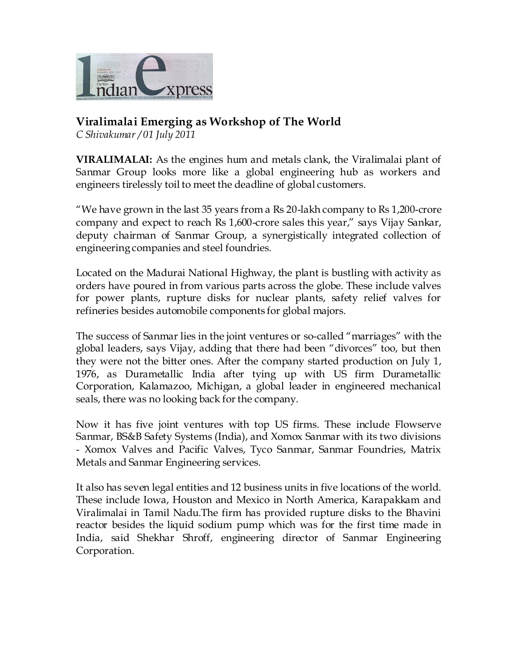

## **Viralimalai Emerging as Workshop of The World**

*[C Shivakumar](http://expressbuzz.com/searchresult/c-shivakumar) / 01 July 2011* 

**VIRALIMALAI:** As the engines hum and metals clank, the Viralimalai plant of Sanmar Group looks more like a global engineering hub as workers and engineers tirelessly toil to meet the deadline of global customers.

"We have grown in the last 35 years from a Rs 20-lakh company to Rs 1,200-crore company and expect to reach Rs 1,600-crore sales this year," says Vijay Sankar, deputy chairman of Sanmar Group, a synergistically integrated collection of engineering companies and steel foundries.

Located on the Madurai National Highway, the plant is bustling with activity as orders have poured in from various parts across the globe. These include valves for power plants, rupture disks for nuclear plants, safety relief valves for refineries besides automobile components for global majors.

The success of Sanmar lies in the joint ventures or so-called "marriages" with the global leaders, says Vijay, adding that there had been "divorces" too, but then they were not the bitter ones. After the company started production on July 1, 1976, as Durametallic India after tying up with US firm Durametallic Corporation, Kalamazoo, Michigan, a global leader in engineered mechanical seals, there was no looking back for the company.

Now it has five joint ventures with top US firms. These include Flowserve Sanmar, BS&B Safety Systems (India), and Xomox Sanmar with its two divisions - Xomox Valves and Pacific Valves, Tyco Sanmar, Sanmar Foundries, Matrix Metals and Sanmar Engineering services.

It also has seven legal entities and 12 business units in five locations of the world. These include Iowa, Houston and Mexico in North America, Karapakkam and Viralimalai in Tamil Nadu.The firm has provided rupture disks to the Bhavini reactor besides the liquid sodium pump which was for the first time made in India, said Shekhar Shroff, engineering director of Sanmar Engineering Corporation.